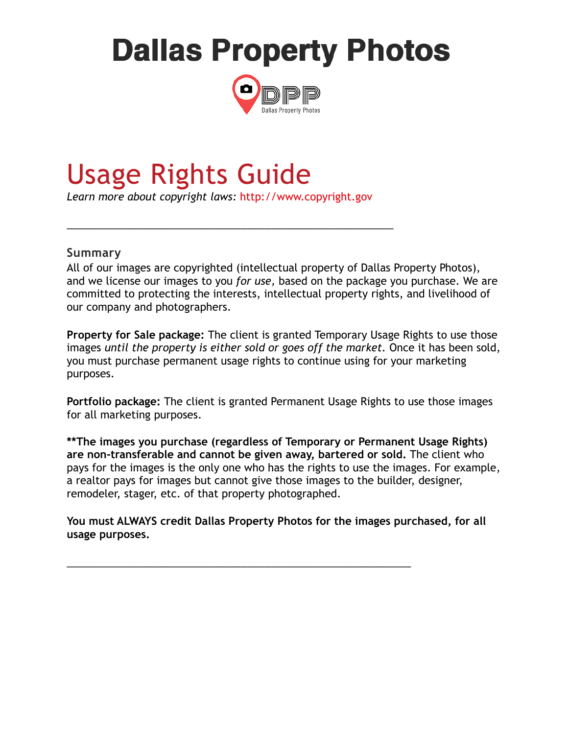# **Dallas Property Photos**



# Usage Rights Guide

*Learn more about copyright laws:* [http://www.copyright.gov](http://www.copyright.gov/)

\_\_\_\_\_\_\_\_\_\_\_\_\_\_\_\_\_\_\_\_\_\_\_\_\_\_\_\_\_\_\_\_\_\_\_\_\_\_\_\_\_\_\_\_\_\_\_\_\_\_\_\_\_\_\_\_

#### **Summary**

All of our images are copyrighted (intellectual property of Dallas Property Photos), and we license our images to you *for use,* based on the package you purchase. We are committed to protecting the interests, intellectual property rights, and livelihood of our company and photographers.

**Property for Sale package:** The client is granted Temporary Usage Rights to use those images *until the property is either sold or goes off the market.* Once it has been sold, you must purchase permanent usage rights to continue using for your marketing purposes.

**Portfolio package:** The client is granted Permanent Usage Rights to use those images for all marketing purposes.

**\*\*The images you purchase (regardless of Temporary or Permanent Usage Rights) are non-transferable and cannot be given away, bartered or sold.** The client who pays for the images is the only one who has the rights to use the images. For example, a realtor pays for images but cannot give those images to the builder, designer, remodeler, stager, etc. of that property photographed.

**You must ALWAYS credit Dallas Property Photos for the images purchased, for all usage purposes.** 

\_\_\_\_\_\_\_\_\_\_\_\_\_\_\_\_\_\_\_\_\_\_\_\_\_\_\_\_\_\_\_\_\_\_\_\_\_\_\_\_\_\_\_\_\_\_\_\_\_\_\_\_\_\_\_\_\_\_\_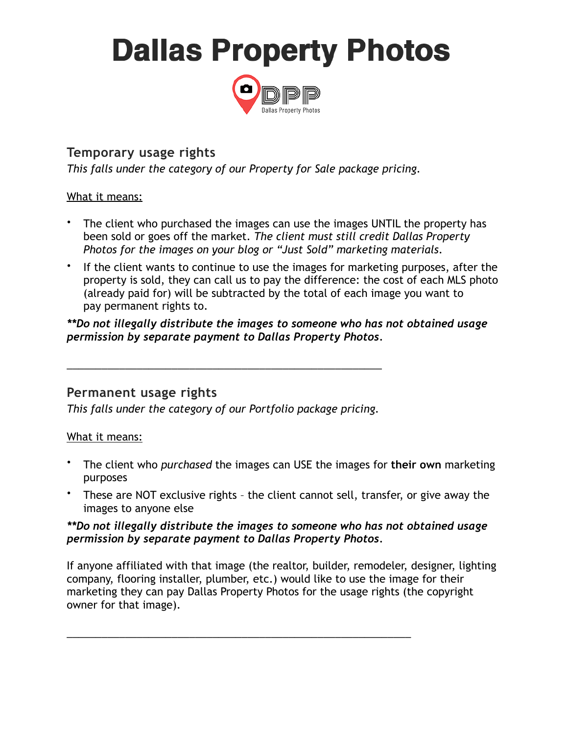# **Dallas Property Photos**



## **Temporary usage rights**

*This falls under the category of our Property for Sale package pricing.*

#### What it means:

- The client who purchased the images can use the images UNTIL the property has been sold or goes off the market. *The client must still credit Dallas Property Photos for the images on your blog or "Just Sold" marketing materials*.
- If the client wants to continue to use the images for marketing purposes, after the property is sold, they can call us to pay the difference: the cost of each MLS photo (already paid for) will be subtracted by the total of each image you want to pay permanent rights to.

*\*\*Do not illegally distribute the images to someone who has not obtained usage permission by separate payment to Dallas Property Photos.*

### **Permanent usage rights**

*This falls under the category of our Portfolio package pricing.*

\_\_\_\_\_\_\_\_\_\_\_\_\_\_\_\_\_\_\_\_\_\_\_\_\_\_\_\_\_\_\_\_\_\_\_\_\_\_\_\_\_\_\_\_\_\_\_\_\_\_\_\_\_\_

#### What it means:

- The client who *purchased* the images can USE the images for **their own** marketing purposes
- These are NOT exclusive rights the client cannot sell, transfer, or give away the images to anyone else

#### *\*\*Do not illegally distribute the images to someone who has not obtained usage permission by separate payment to Dallas Property Photos.*

If anyone affiliated with that image (the realtor, builder, remodeler, designer, lighting company, flooring installer, plumber, etc.) would like to use the image for their marketing they can pay Dallas Property Photos for the usage rights (the copyright owner for that image).

\_\_\_\_\_\_\_\_\_\_\_\_\_\_\_\_\_\_\_\_\_\_\_\_\_\_\_\_\_\_\_\_\_\_\_\_\_\_\_\_\_\_\_\_\_\_\_\_\_\_\_\_\_\_\_\_\_\_\_